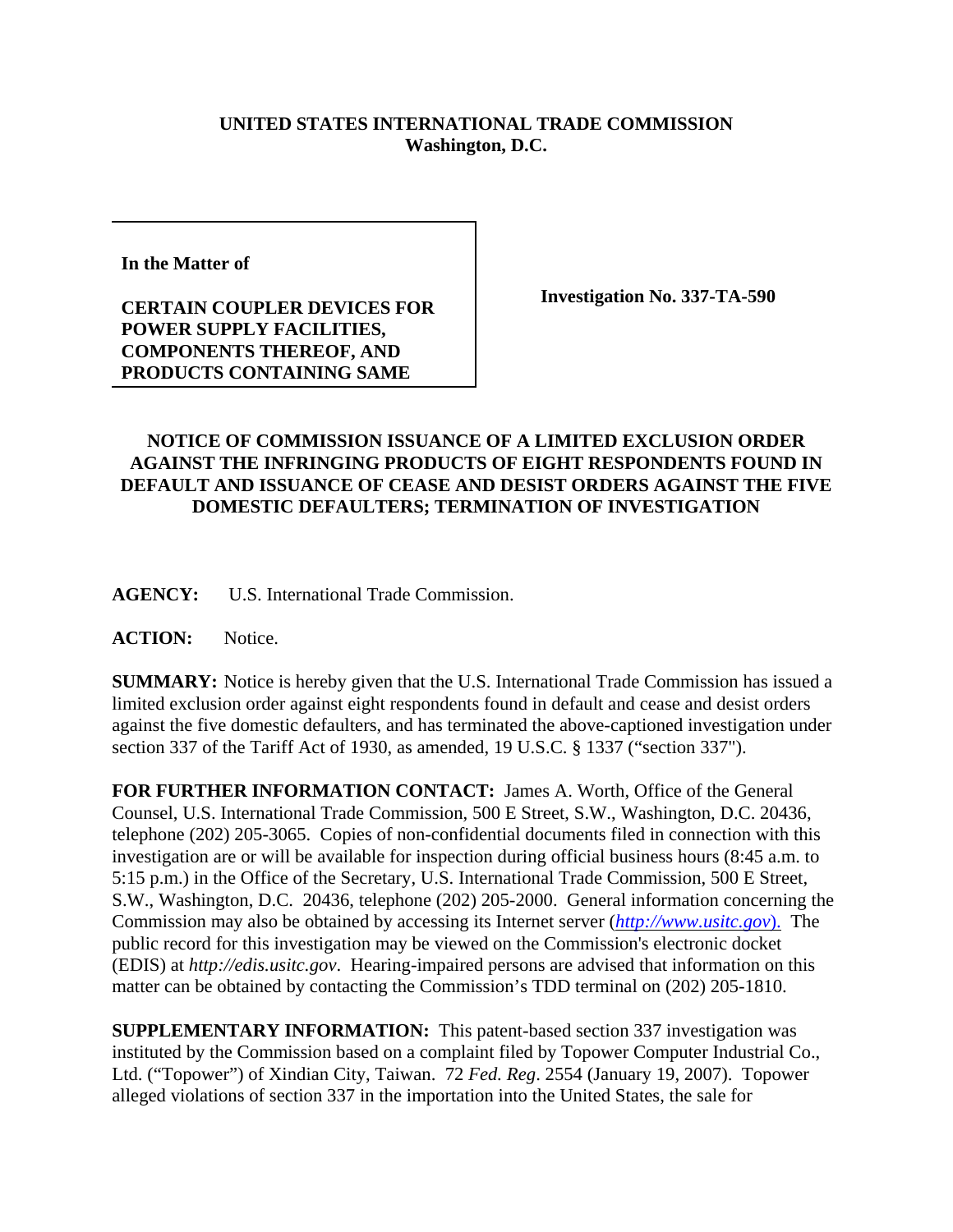## **UNITED STATES INTERNATIONAL TRADE COMMISSION Washington, D.C.**

**In the Matter of**

## **CERTAIN COUPLER DEVICES FOR POWER SUPPLY FACILITIES, COMPONENTS THEREOF, AND PRODUCTS CONTAINING SAME**

**Investigation No. 337-TA-590**

## **NOTICE OF COMMISSION ISSUANCE OF A LIMITED EXCLUSION ORDER AGAINST THE INFRINGING PRODUCTS OF EIGHT RESPONDENTS FOUND IN DEFAULT AND ISSUANCE OF CEASE AND DESIST ORDERS AGAINST THE FIVE DOMESTIC DEFAULTERS; TERMINATION OF INVESTIGATION**

**AGENCY:** U.S. International Trade Commission.

**ACTION:** Notice.

**SUMMARY:** Notice is hereby given that the U.S. International Trade Commission has issued a limited exclusion order against eight respondents found in default and cease and desist orders against the five domestic defaulters, and has terminated the above-captioned investigation under section 337 of the Tariff Act of 1930, as amended, 19 U.S.C. § 1337 ("section 337").

**FOR FURTHER INFORMATION CONTACT:** James A. Worth, Office of the General Counsel, U.S. International Trade Commission, 500 E Street, S.W., Washington, D.C. 20436, telephone (202) 205-3065. Copies of non-confidential documents filed in connection with this investigation are or will be available for inspection during official business hours (8:45 a.m. to 5:15 p.m.) in the Office of the Secretary, U.S. International Trade Commission, 500 E Street, S.W., Washington, D.C. 20436, telephone (202) 205-2000. General information concerning the Commission may also be obtained by accessing its Internet server (*http://www.usitc.gov*). The public record for this investigation may be viewed on the Commission's electronic docket (EDIS) at *http://edis.usitc.gov*. Hearing-impaired persons are advised that information on this matter can be obtained by contacting the Commission's TDD terminal on (202) 205-1810.

**SUPPLEMENTARY INFORMATION:** This patent-based section 337 investigation was instituted by the Commission based on a complaint filed by Topower Computer Industrial Co., Ltd. ("Topower") of Xindian City, Taiwan. 72 *Fed. Reg*. 2554 (January 19, 2007). Topower alleged violations of section 337 in the importation into the United States, the sale for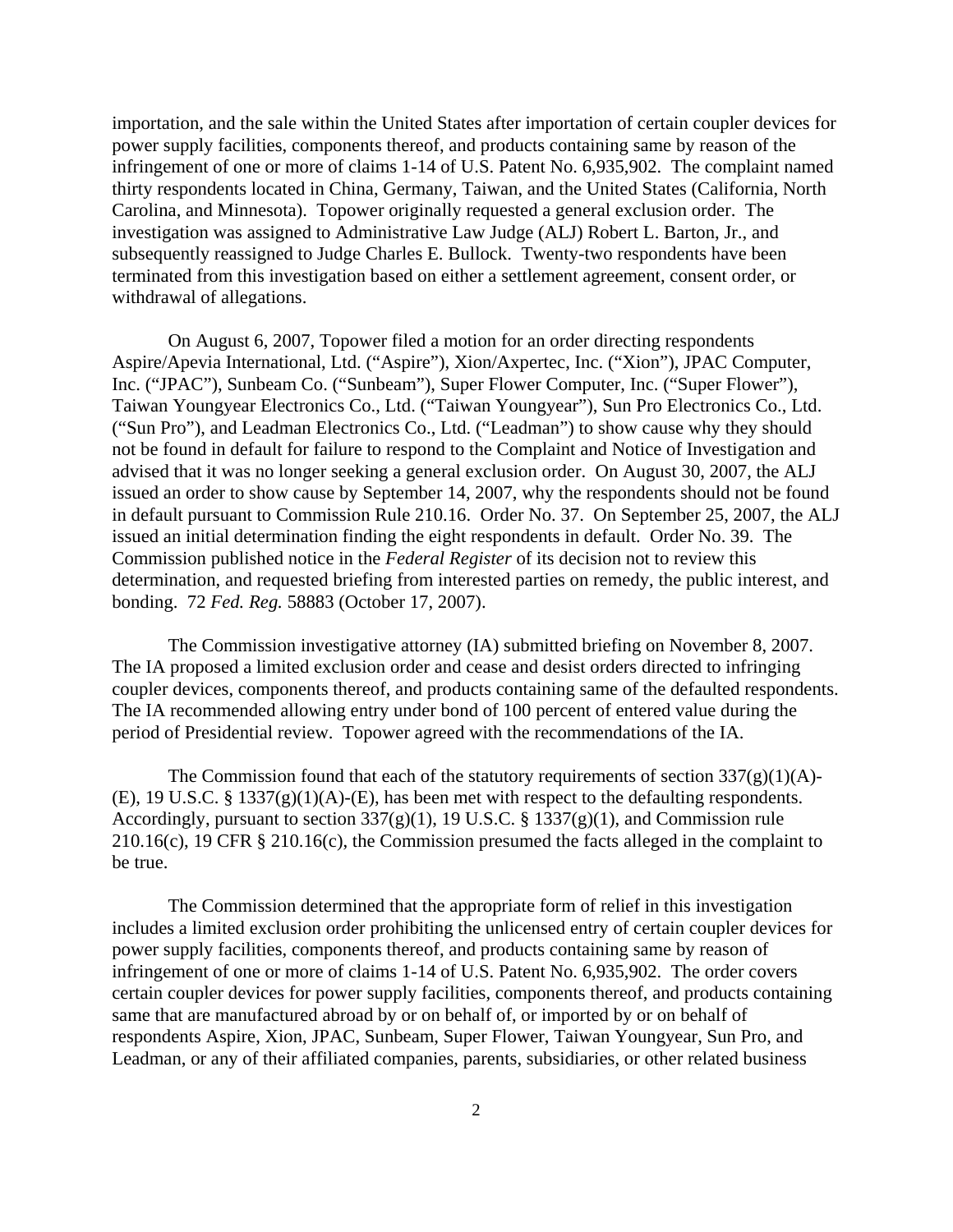importation, and the sale within the United States after importation of certain coupler devices for power supply facilities, components thereof, and products containing same by reason of the infringement of one or more of claims 1-14 of U.S. Patent No. 6,935,902. The complaint named thirty respondents located in China, Germany, Taiwan, and the United States (California, North Carolina, and Minnesota). Topower originally requested a general exclusion order. The investigation was assigned to Administrative Law Judge (ALJ) Robert L. Barton, Jr., and subsequently reassigned to Judge Charles E. Bullock. Twenty-two respondents have been terminated from this investigation based on either a settlement agreement, consent order, or withdrawal of allegations.

On August 6, 2007, Topower filed a motion for an order directing respondents Aspire/Apevia International, Ltd. ("Aspire"), Xion/Axpertec, Inc. ("Xion"), JPAC Computer, Inc. ("JPAC"), Sunbeam Co. ("Sunbeam"), Super Flower Computer, Inc. ("Super Flower"), Taiwan Youngyear Electronics Co., Ltd. ("Taiwan Youngyear"), Sun Pro Electronics Co., Ltd. ("Sun Pro"), and Leadman Electronics Co., Ltd. ("Leadman") to show cause why they should not be found in default for failure to respond to the Complaint and Notice of Investigation and advised that it was no longer seeking a general exclusion order. On August 30, 2007, the ALJ issued an order to show cause by September 14, 2007, why the respondents should not be found in default pursuant to Commission Rule 210.16. Order No. 37. On September 25, 2007, the ALJ issued an initial determination finding the eight respondents in default. Order No. 39. The Commission published notice in the *Federal Register* of its decision not to review this determination, and requested briefing from interested parties on remedy, the public interest, and bonding. 72 *Fed. Reg.* 58883 (October 17, 2007).

The Commission investigative attorney (IA) submitted briefing on November 8, 2007. The IA proposed a limited exclusion order and cease and desist orders directed to infringing coupler devices, components thereof, and products containing same of the defaulted respondents. The IA recommended allowing entry under bond of 100 percent of entered value during the period of Presidential review. Topower agreed with the recommendations of the IA.

The Commission found that each of the statutory requirements of section  $337(g)(1)(A)$ -(E), 19 U.S.C. § 1337 $(g)(1)(A)$ -(E), has been met with respect to the defaulting respondents. Accordingly, pursuant to section  $337(g)(1)$ , 19 U.S.C. § 1337(g)(1), and Commission rule 210.16(c), 19 CFR § 210.16(c), the Commission presumed the facts alleged in the complaint to be true.

The Commission determined that the appropriate form of relief in this investigation includes a limited exclusion order prohibiting the unlicensed entry of certain coupler devices for power supply facilities, components thereof, and products containing same by reason of infringement of one or more of claims 1-14 of U.S. Patent No. 6,935,902. The order covers certain coupler devices for power supply facilities, components thereof, and products containing same that are manufactured abroad by or on behalf of, or imported by or on behalf of respondents Aspire, Xion, JPAC, Sunbeam, Super Flower, Taiwan Youngyear, Sun Pro, and Leadman, or any of their affiliated companies, parents, subsidiaries, or other related business